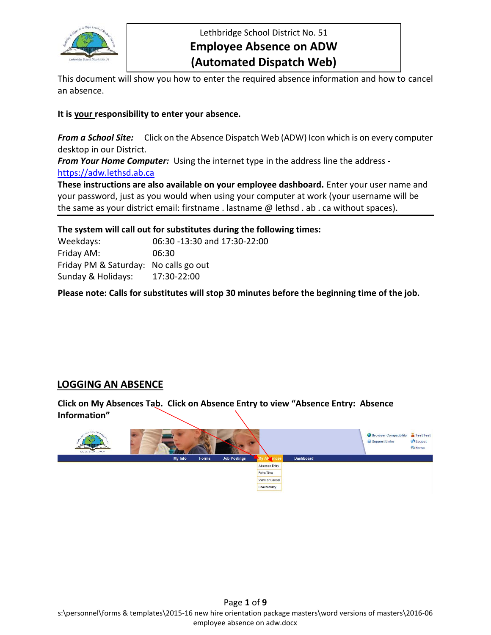

Lethbridge School District No. 51 **Employee Absence on ADW (Automated Dispatch Web)**

This document will show you how to enter the required absence information and how to cancel an absence.

# **It is your responsibility to enter your absence.**

*From a School Site:*Click on the Absence Dispatch Web (ADW) Icon which is on every computer desktop in our District.

*From Your Home Computer:*Using the internet type in the address line the address -

[https://adw.lethsd.ab.ca](https://adw.lethsd.ab.ca/)

**These instructions are also available on your employee dashboard.** Enter your user name and your password, just as you would when using your computer at work (your username will be the same as your district email: firstname . lastname @ lethsd . ab . ca without spaces).

**The system will call out for substitutes during the following times:**

Weekdays: 06:30 -13:30 and 17:30-22:00 Friday AM: 06:30 Friday PM & Saturday: No calls go out Sunday & Holidays: 17:30-22:00

**Please note: Calls for substitutes will stop 30 minutes before the beginning time of the job.**

# **LOGGING AN ABSENCE**

**Click on My Absences Tab. Click on Absence Entry to view "Absence Entry: Absence Information"**

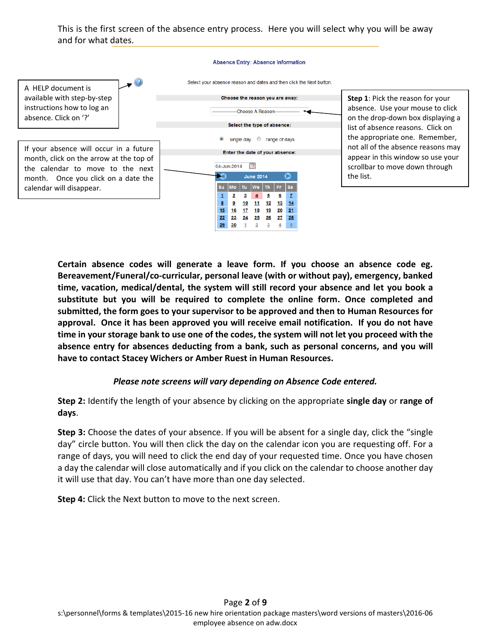This is the first screen of the absence entry process. Here you will select why you will be away and for what dates.



**Certain absence codes will generate a leave form. If you choose an absence code eg. Bereavement/Funeral/co-curricular, personal leave (with or without pay), emergency, banked time, vacation, medical/dental, the system will still record your absence and let you book a substitute but you will be required to complete the online form. Once completed and submitted, the form goes to your supervisor to be approved and then to Human Resources for approval. Once it has been approved you will receive email notification. If you do not have time in your storage bank to use one of the codes, the system will not let you proceed with the absence entry for absences deducting from a bank, such as personal concerns, and you will have to contact Stacey Wichers or Amber Ruest in Human Resources.**

# *Please note screens will vary depending on Absence Code entered.*

**Step 2:** Identify the length of your absence by clicking on the appropriate **single day** or **range of days**.

**Step 3:** Choose the dates of your absence. If you will be absent for a single day, click the "single day" circle button. You will then click the day on the calendar icon you are requesting off. For a range of days, you will need to click the end day of your requested time. Once you have chosen a day the calendar will close automatically and if you click on the calendar to choose another day it will use that day. You can't have more than one day selected.

**Step 4:** Click the Next button to move to the next screen.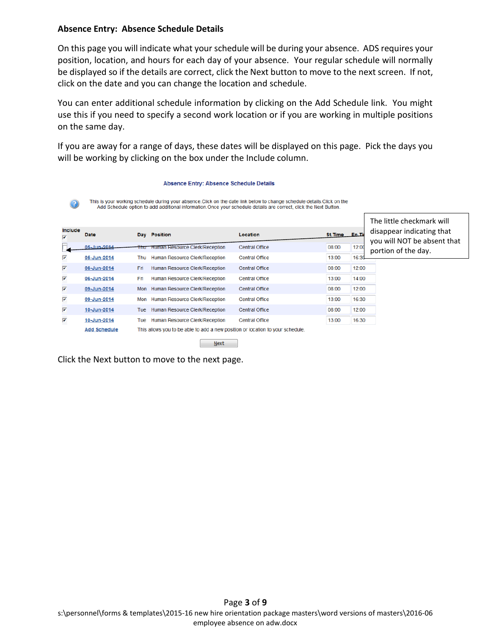# **Absence Entry: Absence Schedule Details**

On this page you will indicate what your schedule will be during your absence. ADS requires your position, location, and hours for each day of your absence. Your regular schedule will normally be displayed so if the details are correct, click the Next button to move to the next screen. If not, click on the date and you can change the location and schedule.

You can enter additional schedule information by clicking on the Add Schedule link. You might use this if you need to specify a second work location or if you are working in multiple positions on the same day.

If you are away for a range of days, these dates will be displayed on this page. Pick the days you will be working by clicking on the box under the Include column.

#### The little checkmark will **Include** disappear indicating that Date Day Position Location En.Ti St. Time you will NOT be absent that 05-Jun-2014 **Human Resource Clerk/Reception** Central Office 08:00  $12:00$ portion of the day.⊽ 05-Jun-2014 Thu Human Resource Clerk/Reception Central Office 13:00  $16:3$  $\overline{\mathbf{v}}$ 06-Jun-2014 Fri Human Resource Clerk/Reception Central Office 08:00 12:00 ⊽ 06-Jun-2014 Fri Human Resource Clerk/Reception **Central Office** 13:00  $14:00$  $\overline{\mathbf{v}}$ 09-Jun-2014 Mon Human Resource Clerk/Reception **Central Office** 08:00 12:00 ₹  $13:00$ 16:30 09-Jun-2014 Mon Human Resource Clerk/Reception Central Office ⊽ 08:00 12:00 10-Jun-2014 Tue Human Resource Clerk/Reception Central Office ⊽ 10-Jun-2014 Tue Human Resource Clerk/Reception Central Office 13:00 16:30 **Add Schedule** This allows you to be able to add a new position or location to your schedule.

This is your working schedule during your absence. Click on the date link below to change schedule details. Click on the Add Schedule option to add additional information. Once your schedule details are correct, click the Next Button.

Next

**Absence Entry: Absence Schedule Details** 

Click the Next button to move to the next page.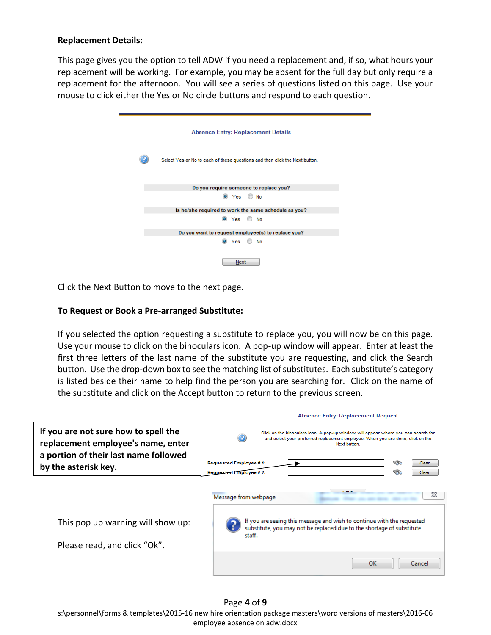# **Replacement Details:**

This page gives you the option to tell ADW if you need a replacement and, if so, what hours your replacement will be working. For example, you may be absent for the full day but only require a replacement for the afternoon. You will see a series of questions listed on this page. Use your mouse to click either the Yes or No circle buttons and respond to each question.

| <b>Absence Entry: Replacement Details</b>                                   |
|-----------------------------------------------------------------------------|
| Select Yes or No to each of these questions and then click the Next button. |
| Do you require someone to replace you?                                      |
|                                                                             |
| O Yes<br>O No                                                               |
| Is he/she required to work the same schedule as you?                        |
| $\circ$ Yes $\circ$ No                                                      |
| Do you want to request employee(s) to replace you?                          |
| O Yes<br>No                                                                 |
| Next                                                                        |

Click the Next Button to move to the next page.

# **To Request or Book a Pre-arranged Substitute:**

If you selected the option requesting a substitute to replace you, you will now be on this page. Use your mouse to click on the binoculars icon. A pop-up window will appear. Enter at least the first three letters of the last name of the substitute you are requesting, and click the Search button. Use the drop-down box to see the matching list of substitutes. Each substitute's category is listed beside their name to help find the person you are searching for. Click on the name of the substitute and click on the Accept button to return to the previous screen.

|                                                                            | <b>Absence Entry: Replacement Request</b>                                                                                                                                                       |
|----------------------------------------------------------------------------|-------------------------------------------------------------------------------------------------------------------------------------------------------------------------------------------------|
| If you are not sure how to spell the<br>replacement employee's name, enter | Click on the binoculars icon. A pop-up window will appear where you can search for<br>and select your preferred replacement employee. When you are done, click on the<br>Next button.           |
| a portion of their last name followed<br>by the asterisk key.              | <b>SO</b><br>Requested Employee #1:<br>Clear<br>ಾ<br>Requested Employee # 2:<br>Clear                                                                                                           |
| This pop up warning will show up:<br>Please read, and click "Ok".          | Nevt<br>23<br>Message from webpage<br>If you are seeing this message and wish to continue with the requested<br>substitute, you may not be replaced due to the shortage of substitute<br>staff. |
|                                                                            | OK<br>Cancel                                                                                                                                                                                    |

Page **4** of **9** s:\personnel\forms & templates\2015-16 new hire orientation package masters\word versions of masters\2016-06 employee absence on adw.docx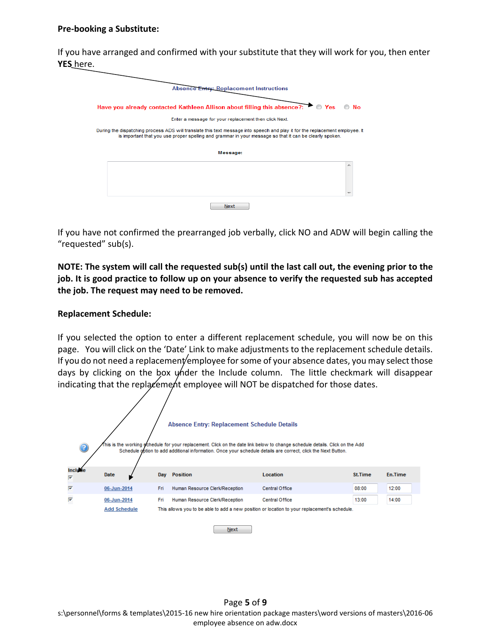#### **Pre-booking a Substitute:**

If you have arranged and confirmed with your substitute that they will work for you, then enter **YES** here.

| Have you already contacted Kathleen Allison about filling this absence?: $\bullet$ Yes                                       | No |
|------------------------------------------------------------------------------------------------------------------------------|----|
| Enter a message for your replacement then click Next.                                                                        |    |
| During the dispatching process ADS will translate this text message into speech and play it for the replacement employee. It |    |
| is important that you use proper spelling and grammar in your message so that it can be clearly spoken.                      |    |
| Message:                                                                                                                     |    |
|                                                                                                                              |    |
|                                                                                                                              |    |
|                                                                                                                              |    |

If you have not confirmed the prearranged job verbally, click NO and ADW will begin calling the "requested" sub(s).

**NOTE: The system will call the requested sub(s) until the last call out, the evening prior to the job. It is good practice to follow up on your absence to verify the requested sub has accepted the job. The request may need to be removed.**

### **Replacement Schedule:**

If you selected the option to enter a different replacement schedule, you will now be on this page. You will click on the 'Date' Link to make adjustments to the replacement schedule details. If you do not need a replacement employee for some of your absence dates, you may select those days by clicking on the box under the Include column. The little checkmark will disappear indicating that the replacement employee will NOT be dispatched for those dates.



Next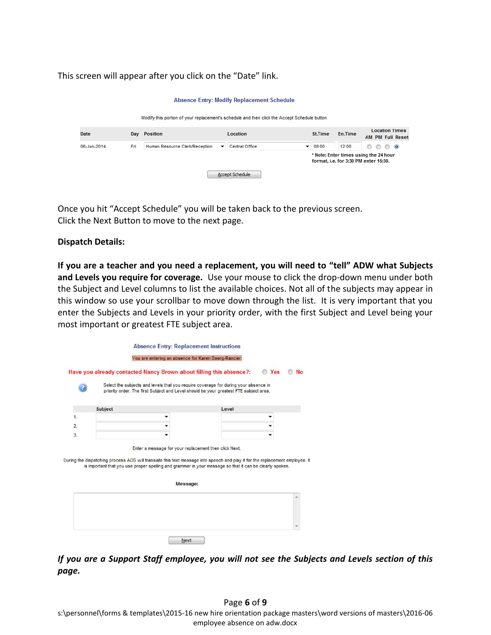This screen will appear after you click on the "Date" link.

| <b>Absence Entry: Modify Replacement Schedule</b>                                            |     |                                |  |                            |                |                                       |                                                  |
|----------------------------------------------------------------------------------------------|-----|--------------------------------|--|----------------------------|----------------|---------------------------------------|--------------------------------------------------|
| Modify this portion of your replacement's schedule and then click the Accept Schedule button |     |                                |  |                            |                |                                       |                                                  |
| <b>Date</b>                                                                                  | Day | <b>Position</b>                |  | <b>Location</b>            | <b>St.Time</b> | En.Time                               | <b>Location Times</b><br><b>AM PM Full Reset</b> |
| 06-Jun-2014                                                                                  | Fri | Human Resource Clerk/Reception |  | <b>Central Office</b><br>▼ | 08:00          | 12:00                                 | $\circ$ $\circ$<br>⊙<br>$\circledcirc$           |
|                                                                                              |     |                                |  |                            |                | format, i.e. for 3:30 PM enter 15:30. | * Note: Enter times using the 24 hour            |
|                                                                                              |     |                                |  | Accept Schedule            |                |                                       |                                                  |

Once you hit "Accept Schedule" you will be taken back to the previous screen. Click the Next Button to move to the next page.

# **Dispatch Details:**

**If you are a teacher and you need a replacement, you will need to "tell" ADW what Subjects and Levels you require for coverage.** Use your mouse to click the drop-down menu under both the Subject and Level columns to list the available choices. Not all of the subjects may appear in this window so use your scrollbar to move down through the list. It is very important that you enter the Subjects and Levels in your priority order, with the first Subject and Level being your most important or greatest FTE subject area.

|    | You are entering an absence for Karen Baerg-Rancier.                                                                                                                                                                                                                                             |       |                         |
|----|--------------------------------------------------------------------------------------------------------------------------------------------------------------------------------------------------------------------------------------------------------------------------------------------------|-------|-------------------------|
|    | Have you already contacted Nancy Brown about filling this absence?:                                                                                                                                                                                                                              |       | <b>Yes</b><br><b>No</b> |
|    | Select the subjects and levels that you require coverage for during your absence in<br>priority order. The first Subject and Level should be your greatest FTE subject area.                                                                                                                     |       |                         |
|    | <b>Subject</b>                                                                                                                                                                                                                                                                                   | Level |                         |
| 1. |                                                                                                                                                                                                                                                                                                  |       |                         |
| 2. |                                                                                                                                                                                                                                                                                                  |       |                         |
| 3. |                                                                                                                                                                                                                                                                                                  |       |                         |
|    |                                                                                                                                                                                                                                                                                                  |       |                         |
|    | Enter a message for your replacement then click Next.<br>During the dispatching process ADS will translate this text message into speech and play it for the replacement employee. It<br>is important that you use proper spelling and grammar in your message so that it can be clearly spoken. |       |                         |
|    | Message:                                                                                                                                                                                                                                                                                         |       |                         |
|    |                                                                                                                                                                                                                                                                                                  |       |                         |

*If you are a Support Staff employee, you will not see the Subjects and Levels section of this page.*

Page **6** of **9** s:\personnel\forms & templates\2015-16 new hire orientation package masters\word versions of masters\2016-06 employee absence on adw.docx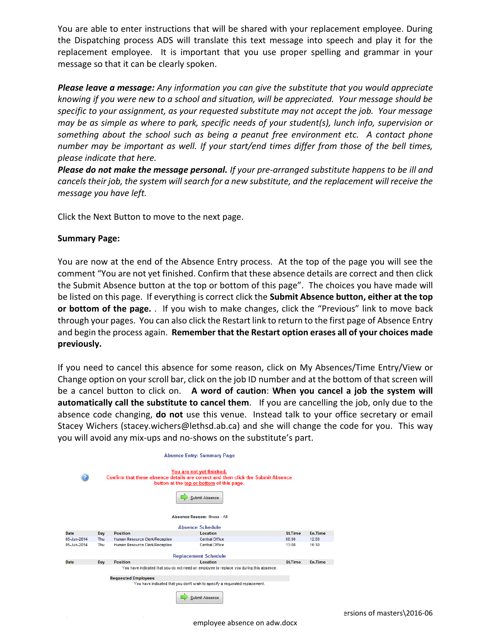You are able to enter instructions that will be shared with your replacement employee. During the Dispatching process ADS will translate this text message into speech and play it for the replacement employee. It is important that you use proper spelling and grammar in your message so that it can be clearly spoken.

*Please leave a message: Any information you can give the substitute that you would appreciate knowing if you were new to a school and situation, will be appreciated. Your message should be specific to your assignment, as your requested substitute may not accept the job. Your message may be as simple as where to park, specific needs of your student(s), lunch info, supervision or something about the school such as being a peanut free environment etc. A contact phone number may be important as well. If your start/end times differ from those of the bell times, please indicate that here.*

*Please do not make the message personal. If your pre-arranged substitute happens to be ill and cancels their job, the system will search for a new substitute, and the replacement will receive the message you have left.* 

Click the Next Button to move to the next page.

### **Summary Page:**

You are now at the end of the Absence Entry process. At the top of the page you will see the comment "You are not yet finished. Confirm that these absence details are correct and then click the Submit Absence button at the top or bottom of this page". The choices you have made will be listed on this page. If everything is correct click the **Submit Absence button, either at the top or bottom of the page.** . If you wish to make changes, click the "Previous" link to move back through your pages. You can also click the Restart link to return to the first page of Absence Entry and begin the process again. **Remember that the Restart option erases all of your choices made previously.** 

If you need to cancel this absence for some reason, click on My Absences/Time Entry/View or Change option on your scroll bar, click on the job ID number and at the bottom of that screen will be a cancel button to click on. **A word of caution**: **When you cancel a job the system will automatically call the substitute to cancel them**. If you are cancelling the job, only due to the absence code changing, **do not** use this venue. Instead talk to your office secretary or email Stacey Wichers (stacey.wichers@lethsd.ab.ca) and she will change the code for you. This way you will avoid any mix-ups and no-shows on the substitute's part.

| <b>Absence Entry: Summary Page</b>   |                                                                                                                                                                              |                                |                                                                            |                |                |  |  |
|--------------------------------------|------------------------------------------------------------------------------------------------------------------------------------------------------------------------------|--------------------------------|----------------------------------------------------------------------------|----------------|----------------|--|--|
| 2                                    | You are not yet finished.<br>Confirm that these absence details are correct and then click the Submit Absence<br>button at the top or bottom of this page.<br>Submit Absence |                                |                                                                            |                |                |  |  |
| <b>Absence Reason: Illness - All</b> |                                                                                                                                                                              |                                |                                                                            |                |                |  |  |
|                                      |                                                                                                                                                                              |                                | Absence Schedule                                                           |                |                |  |  |
| Date                                 | Day                                                                                                                                                                          | <b>Position</b>                | Location                                                                   | <b>St.Time</b> | <b>En.Time</b> |  |  |
| 05-Jun-2014                          | Thu                                                                                                                                                                          | Human Resource Clerk/Reception | Central Office                                                             | 08:00          | 12:00          |  |  |
| 05-Jun-2014                          | Thu                                                                                                                                                                          | Human Resource Clerk/Reception | <b>Central Office</b>                                                      | 13:00          | 16:30          |  |  |
| <b>Replacement Schedule</b>          |                                                                                                                                                                              |                                |                                                                            |                |                |  |  |
| Date                                 | Day                                                                                                                                                                          | <b>Position</b>                | Location                                                                   | <b>St.Time</b> | En.Time        |  |  |
|                                      | You have indicated that you do not need an employee to replace you during this absence.                                                                                      |                                |                                                                            |                |                |  |  |
|                                      | <b>Requested Employees</b>                                                                                                                                                   |                                |                                                                            |                |                |  |  |
|                                      |                                                                                                                                                                              |                                | You have indicated that you don't wish to specify a requested replacement. |                |                |  |  |
|                                      |                                                                                                                                                                              |                                | Submit Absence                                                             |                |                |  |  |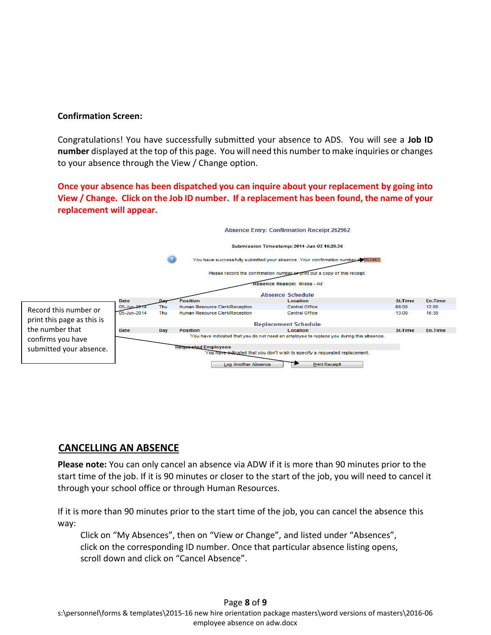### **Confirmation Screen:**

Congratulations! You have successfully submitted your absence to ADS. You will see a **Job ID number** displayed at the top of this page. You will need this number to make inquiries or changes to your absence through the View / Change option.

**Once your absence has been dispatched you can inquire about your replacement by going into View / Change. Click on the Job ID number. If a replacement has been found, the name of your replacement will appear.**



# **CANCELLING AN ABSENCE**

**Please note:** You can only cancel an absence via ADW if it is more than 90 minutes prior to the start time of the job. If it is 90 minutes or closer to the start of the job, you will need to cancel it through your school office or through Human Resources.

If it is more than 90 minutes prior to the start time of the job, you can cancel the absence this way:

Click on "My Absences", then on "View or Change", and listed under "Absences", click on the corresponding ID number. Once that particular absence listing opens, scroll down and click on "Cancel Absence".